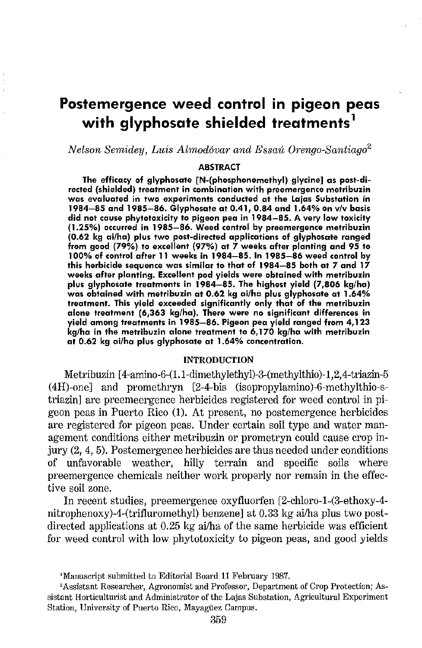# **Postemergence weed control in pigeon peas with glyphosate shielded treatments** <sup>1</sup>

*Nelson Semidey, Luis Almodóvar and Essaú Orengo-Santiago<sup>2</sup>* 

#### **ABSTRACT**

**The efficacy of glyphosate [N-(phosphonomethyl) glycine] as post-directed (shielded) treatment in combination with preemergence metribuzin was evaluated in two experiments conducted at the Lajas Substation in 1984-85 and 1985-86. Glyphosate at 0.41, 0.84 and 1.64% on v/v basis did not cause phytotoxicity to pigeon pea in 1984-85. A very low toxicity (1.25%) occurred in 1985-86. Weed control by preemergence metribuzin (0.62 kg ai/ha) plus two post-directed applications of glyphosate ranged from good (79%) to excellent {97%) at 7 weeks after planting and 95 to 1 00% of control after 11 weeks in 1984-85. In 1985-86 weed control by this herbicide sequence was similar to that of 1984-85 both at 7 and 17 weeks after planting. Excellent pod yields were obtained with metribuzin plus glyphosate treatments in 1984-85. The highest yield (7,806 kg/ha) was obtained with metribuzin at 0.62 kg ai/ha plus glyphosate at 1.64% treatment. This yield exceeded significantly only that of the metribuzin alone treatment (6,363 kg/ha). There were no significant differences in yield among treatments in 1985-86. Pigeon pea yield ranged from 4,123 kg/ha in the metribuzin alone treatment to 6,170 kg/ha with metribuzin at 0.62 kg ai/ha plus glyphosate at 1.64% concentration.** 

## INTRODUCTION

Metribuzin [4-amino-6-(1.1-dimethylethyl)-3-(methylthio)-1,2,4-triazin-5 (4H)-one] and promethryn [2-4-bis (isopropylamino)-6-methylthio-striazin] are preemeergence herbicides registered for weed control in pigeon peas in Puerto Rico (1). At present, no postemergence herbicides are registered for pigeon peas. Under certain soil type and water management conditions either metribuzin or prometryn could cause crop injury (2, 4, 5). Postemergence herbicides are thus needed under conditions of unfavorable weather, hilly terrain and specific soils where preemergence chemicals neither work properly nor remain in the effective soil zone.

In recent studies, preemergence oxyfluorfen [2-chloro-1-(3-ethoxy-4 nitrophenoxy)-4-(trifluromethyl) benzene] at 0.33 kg ai/ha plus two postdirected applications at 0.25 kg ai/ha of the same herbicide was efficient for weed control with low phytotoxicity to pigeon peas, and good yields

<sup>&</sup>lt;sup>2</sup> Manuscript submitted to Editorial Board 11 February 1987.<br><sup>2</sup>Assistant Researcher, Agronomist and Professor, Department of Crop Protection; Assistant Horticulturist and Administrator of the Lajas Substation, Agricultural Experiment Station, University of Puerto Rico, Mayagüez Campus.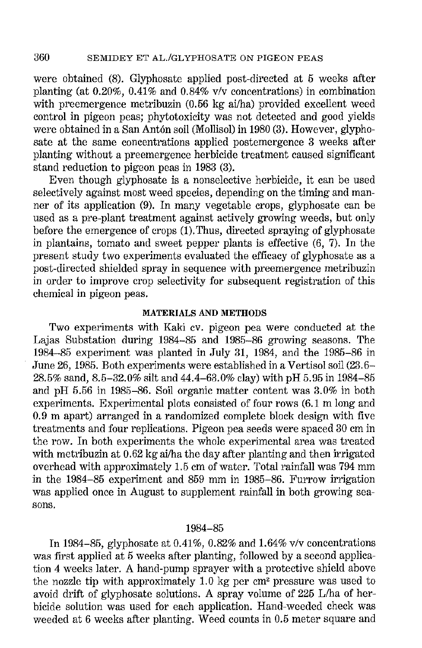were obtained (8). Glyphosate applied post-directed at 5 weeks after planting (at 0.20%, 0.41% and 0.84% *vlv* concentrations) in combination with preemergence metribuzin (0.56 kg ai/ha) provided excellent weed control in pigeon peas; phytotoxicity was not detected and good yields were obtained in a San Antón soil (Mollisol) in 1980 (3). However, glyphosate at the same concentrations applied postemergence 3 weeks after planting without a preemergence herbicide treatment caused significant stand reduction to pigeon peas in 1983 (3).

Even though glyphosate is a nonselective herbicide, it can be used selectively against most weed species, depending on the timing and manner of its application (9). In many vegetable crops, glyphosate can be used as a pre-plant treatment against actively growing weeds, but only before the emergence of crops (1). Thus, directed spraying of glyphosate in plantains, tomato and sweet pepper plants is effective (6, 7). In the present study two experiments evaluated the efficacy of glyphosate as a post-directed shielded spray in sequence with preemergence metribuzin in order to improve crop selectivity for subsequent registration of this chemical in pigeon peas.

## **MATERIALS AND METHODS**

Two experiments with Kaki cv. pigeon pea were conducted at the Lajas Substation during 1984-85 and 1985-86 growing seasons. The 1984-85 experiment was planted in July 31, 1984, and the 1985-86 in June 26, 1985. Both experiments were established in a Vertisol soil (23.6- 28.5% sand, 8.5-32.0% silt and 44.4-63.0% clay) with pH 5.95 in 1984-85 and pH 5.56 in 1985-86. Soil organic matter content was 3.0% in both experiments. Experimental plots consisted of four rows (6.1 m long and 0.9 m apart) arranged in a randomized complete block design with five treatments and four replications. Pigeon pea seeds were spaced 30 em in the row. In both experiments the whole experimental area was treated with metribuzin at  $0.62$  kg ai/ha the day after planting and then irrigated overhead with approximately 1.5 em of water. Total rainfall was 794 mm in the 1984-85 experiment and 859 mm in 1985-86. Furrow irrigation was applied once in August to supplement rainfall in both growing sea**sons.** 

## 1984-85

In 1984-85, glyphosate at 0.41%, 0.82% and 1.64% v/v concentrations was first applied at 5 weeks after planting, followed by a second application 4 weeks later. A hand-pump sprayer with a protective shield above the nozzle tip with approximately 1.0 kg per em' pressure was used to avoid drift of glyphosate solutions. A spray volume of 225 L/ha of herbicide solution was used for each application. Hand-weeded check was weeded at 6 weeks after planting. Weed counts in 0.5 meter square and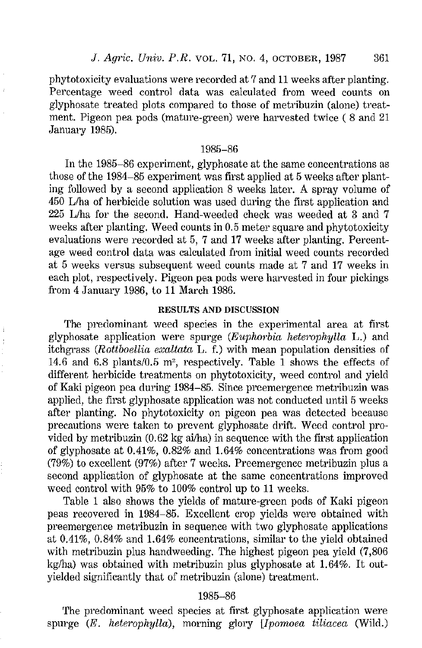phytotoxicity evaluations were recorded at 7 and 11 weeks after planting. Percentage weed control data was calculated from weed counts on glyphosate treated plots compared to those of metribuzin (alone) treatment. Pigeon pea pods (mature-green) were harvested twice ( 8 and 21 January 1985).

## 1985-86

In the 1985-86 experiment, glyphosate at the same concentrations as those of the 1984-85 experiment was first applied at 5 weeks after planting followed by a second application 8 weeks later. A spray volume of 450 L/ha of herbicide solution was used during the first application and 225 L/ha for the second. Hand-weeded check was weeded at 3 and 7 weeks after planting. Weed counts in 0.5 meter square and phytotoxicity evaluations were recorded at 5, 7 and 17 weeks after planting. Percentage weed control data was calculated from initial weed counts recorded at 5 weeks versus subsequent weed counts made at 7 and 17 weeks in each plot, respectively. Pigeon pea pods were harvested in four pickings from 4 January 1986, to 11 March 1986.

### RESULTS **AND** DISCUSSION

The predominant weed species in the experimental area at first glyphosate application were spurge *(Euphorbia heterophylla L.)* and itchgrass *(Rottboellia exaltata* L. f.) with mean population densities of 14.6 and 6.8 plants/0.5 m', respectively. Table **1** shows the effects of different herbicide treatments on phytotoxicity, weed control and yield of Kaki pigeon pea during 1984-85. Since preemergence metribuzin was applied, the first glyphosate application was not conducted until 5 weeks after planting. No phytotoxicity on pigeon pea was detected because precautions were taken to prevent glyphosate drift. Weed control provided by metribuzin (0.62 kg ai/ha) in sequence with the first application of glyphosate at  $0.41\%$ ,  $0.82\%$  and  $1.64\%$  concentrations was from good (79%) to excellent (97%) after 7 weeks. Preemergence metribuzin plus a second application of glyphosate at the same concentrations improved weed control with 95% to 100% control up to 11 weeks.

Table 1 also shows the yields of mature-green pods of Kaki pigeon peas recovered in 1984-85. Excellent crop yields were obtained with preemergence metribuzin in sequence with two glyphosate applications at 0.41%, 0.84% and 1.64% concentrations, similar to the yield obtained with metribuzin plus handweeding. The highest pigeon pea yield  $(7,806)$ kg/ha) was obtained with metribuzin plus glyphosate at 1.64%. It outyielded significantly that of metribuzin (alone) treatment.

# 1985-86

The predominant weed species at first glyphosate application were spurge *(E. heterophylla),* morning glory *[Ipomoea tiliacea* (Wild.)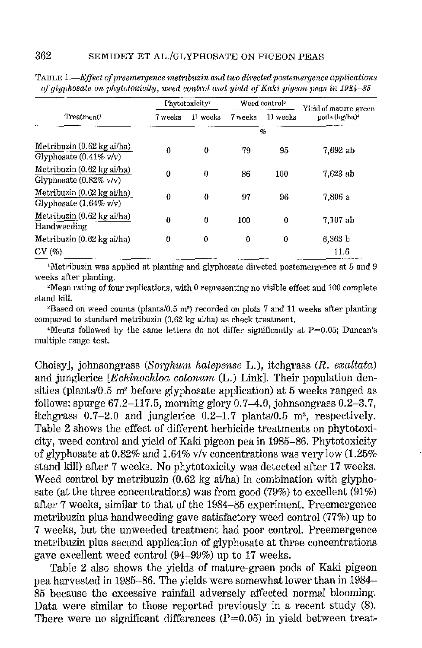| Treatment <sup>1</sup>                                          | Phytotoxicity <sup>2</sup> |          | Weed control <sup>3</sup> |          | Yield of mature-green     |  |  |  |
|-----------------------------------------------------------------|----------------------------|----------|---------------------------|----------|---------------------------|--|--|--|
|                                                                 | 7 veeks                    | 11 weeks | 7 weeks                   | 11 weeks | pods (kg/ha) <sup>4</sup> |  |  |  |
|                                                                 | $\mathcal{O}_n$            |          |                           |          |                           |  |  |  |
| Metribuzin (0.62 kg ai/ha)<br>Glyphosate $(0.41\% \text{ v/v})$ | 0                          | $\theta$ | 79                        | 95       | 7,692 ab                  |  |  |  |
| Metribuzin (0.62 kg ai/ha)<br>Glyphosate $(0.82\% \text{ v/v})$ | 0                          | $\theta$ | 86                        | 100      | 7,623 ab                  |  |  |  |
| Metribuzin (0.62 kg ai/ha)<br>Glyphosate $(1.64\% \text{ v/v})$ | 0                          | $\theta$ | 97                        | 96       | 7.806 a                   |  |  |  |
| Metribuzin (0.62 kg ai/ha)<br>Handweeding                       | 0                          | $\theta$ | 100                       | $\bf{0}$ | 7.107 ab                  |  |  |  |
| Metribuzin (0.62 kg ai/ha)                                      | 0                          | 0        | 0                         | 0        | $6,363$ b                 |  |  |  |
| CV(%)                                                           |                            |          |                           |          | 11.6                      |  |  |  |

**TABLE 1.**-Effect of preemergence metribuzin and two directed postemergence applications *of glyphosate on phytotoxicity, weed cont1'0l and yield of Kaki pigeon peas in 1984-85* 

<sup>1</sup>**Metribuzin was applied at planting and glyphosate directed postemergence at 5 and 9 weeks after planting. 2Mean rating of four replications, with 0 representing no visible effect and 100 complete** 

stand kill.<br><sup>3</sup>Based on weed counts (plants/0.5 m<sup>2</sup>) recorded on plots 7 and 11 weeks after planting<br>compared to standard metribuzin (0.62 kg ai/ha) as check treatment.

 $4$ Means followed by the same letters do not differ significantly at  $P=0.05$ ; Duncan's **multiple range test.** 

Choisy], johnsongrass *(Sorghum halepense L.)*, itchgrass *(R. exaltata)* and junglerice *[Echinochloa colonum* (L.) Link]. Their population densities (plants/0.5 m<sup>2</sup> before glyphosate application) at 5 weeks ranged as follows: spurge  $67.2-117.5$ , morning glory  $0.7-4.0$ , johnsongrass  $0.2-3.7$ , itchgrass  $0.7-2.0$  and junglerice  $0.2-1.7$  plants/ $0.5$  m<sup>2</sup>, respectively. Table 2 shows the effect of different herbicide treatments on phytotoxicity, weed control and yield of Kaki pigeon pea in 1985-86. Phytotoxicity of glyphosate at 0.82% and 1.64% v/v concentrations was very low (1.25% stand kill) after 7 weeks. No phytotoxicity was detected after 17 weeks. Weed control by metribuzin  $(0.62 \text{ kg a}i/\text{ha})$  in combination with glyphosate (at the three concentrations) was from good (79%) to excellent (91%) after 7 weeks, similar to that of the 1984-85 experiment. Preemergence metribuzin plus hand weeding gave satisfactory weed control (77%) up to 7 weeks, but the unweeded treatment had poor control. Preemergence metribuzin plus second application of glyphosate at three concentrations gave excellent weed control (94-99%) up to 17 weeks.

Table 2 also shows the yields of mature-green pods of Kaki pigeon pea harvested in 1985-86. The yields were somewhat lower than in 1984- 85 because the excessive rainfall adversely affected normal blooming. Data were similar to those reported previously in a recent study (8). There were no significant differences  $(P=0.05)$  in yield between treat-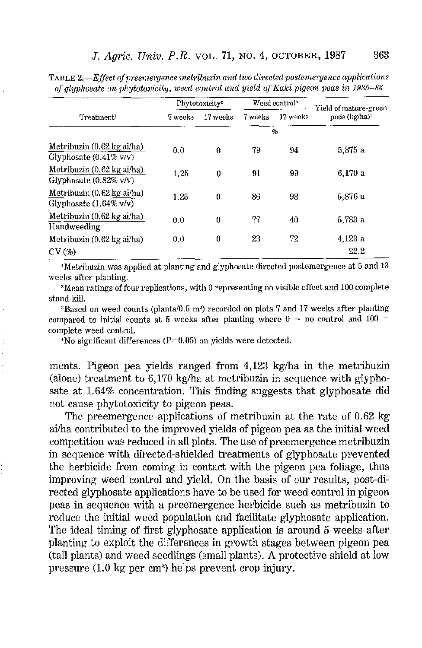| Treatment <sup>1</sup>                                                           | Phytotoxicity <sup>2</sup> |          | Weed control <sup>3</sup> |          | Yield of mature-green     |  |  |  |
|----------------------------------------------------------------------------------|----------------------------|----------|---------------------------|----------|---------------------------|--|--|--|
|                                                                                  | 7 weeks                    | 17 weeks | 7 weeks                   | 17 weeks | pods (kg/ha) <sup>4</sup> |  |  |  |
|                                                                                  | $\%$                       |          |                           |          |                           |  |  |  |
| Metribuzin (0.62 kg ai/ha)<br>Glyphosate $(0.41\% \text{ v/v})$                  | 0.0                        | 0        | 79                        | 94       | 5,875 a                   |  |  |  |
| Metribuzin (0.62 kg ai/ha)<br>Glyphosate $(0.82\% \text{ v/v})$                  | 1.25                       | 0        | 91                        | 99       | 6,170a                    |  |  |  |
| Metribuzin $(0.62 \text{ kg a}i/\text{ha})$<br>Glyphosate $(1.64\% \text{ v/v})$ | 1.25                       | 0        | 86                        | 98       | 5.876 a                   |  |  |  |
| Metribuzin $(0.62 \text{ kg } a)/h$ a)<br>Handweeding                            | 0.0                        | 0        | 77                        | 40       | 5,783 a                   |  |  |  |
| Metribuzin (0.62 kg ai/ha)                                                       | 0.0                        | 0        | 23                        | 72       | 4,123 a                   |  |  |  |
| CV(%)                                                                            |                            |          |                           |          | 22.2                      |  |  |  |

TABLE *2.-Efject of preemergence nwtrilmzin and two di1·ectecl postemergence applications of glyplwsate on phytotoxicity, weed contml and yield of Kaki pigeon peas in 1.985-86* 

<sup>1</sup>Metribuzin was applied at planting and glyphosate directed postemergence at 5 and 13 weeks after planting.<br><sup>2</sup>Mean ratings of four replications, with 0 representing no visible effect and 100 complete

stand kill.<br>3Based on weed counts (plants/0.5 m<sup>2</sup>) recorded on plots 7 and 17 weeks after planting

compared to initial counts at 5 weeks after planting where  $0 =$  no control and  $100 =$ complete weed control.<br> $4N\sigma$  significant differences (P=0.05) on yields were detected.

ments. Pigeon pea yields ranged from 4,123 kg/ha in the metribuzin (alone) treatment to 6,170 kg/ha at metribuzin in sequence with glyphosate at 1.64% concentration. This finding suggests that glyphosate did not cause phytotoxicity to pigeon peas.

The preemergence applications of metribuzin at the rate of 0.62 kg ai/ha contributed to the improved yields of pigeon pea as the initial weed competition was reduced in all plots. The use of preemergence metribuzin in sequence with directed-shielded treatments of glyphosate prevented the herbicide from coming in contact with the pigeon pea foliage, thus improving weed control and yield. On the basis of our results, post-directed glyphosate applications have to be used for weed control in pigeon peas in sequence with a preemergence herbicide such as metribuzin to reduce the initial weed population and facilitate glyphosate application. The ideal timing of first glyphosate application is around 5 weeks after planting to exploit the differences in growth stages between pigeon pea (tall plants) and weed seedlings (small plants). A protective shield at low pressure (1. 0 kg per cm2) helps prevent crop injury.